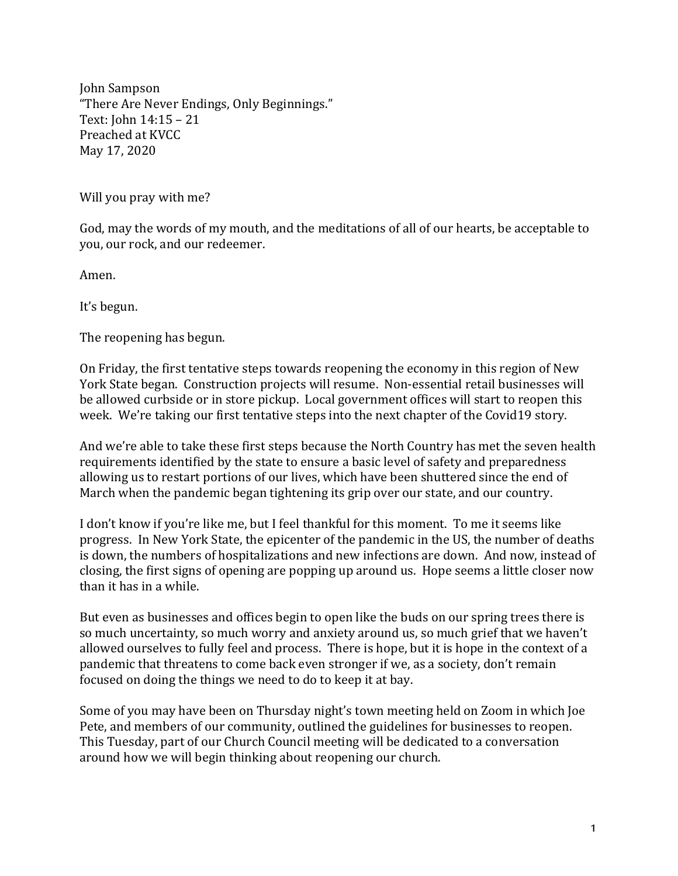John Sampson "There Are Never Endings, Only Beginnings." Text:  $John 14:15 - 21$ Preached at KVCC May 17, 2020

Will you pray with me?

God, may the words of my mouth, and the meditations of all of our hearts, be acceptable to you, our rock, and our redeemer.

Amen.

It's begun.

The reopening has begun.

On Friday, the first tentative steps towards reopening the economy in this region of New York State began. Construction projects will resume. Non-essential retail businesses will be allowed curbside or in store pickup. Local government offices will start to reopen this week. We're taking our first tentative steps into the next chapter of the Covid19 story.

And we're able to take these first steps because the North Country has met the seven health requirements identified by the state to ensure a basic level of safety and preparedness allowing us to restart portions of our lives, which have been shuttered since the end of March when the pandemic began tightening its grip over our state, and our country.

I don't know if you're like me, but I feel thankful for this moment. To me it seems like progress. In New York State, the epicenter of the pandemic in the US, the number of deaths is down, the numbers of hospitalizations and new infections are down. And now, instead of closing, the first signs of opening are popping up around us. Hope seems a little closer now than it has in a while.

But even as businesses and offices begin to open like the buds on our spring trees there is so much uncertainty, so much worry and anxiety around us, so much grief that we haven't allowed ourselves to fully feel and process. There is hope, but it is hope in the context of a pandemic that threatens to come back even stronger if we, as a society, don't remain focused on doing the things we need to do to keep it at bay.

Some of you may have been on Thursday night's town meeting held on Zoom in which Joe Pete, and members of our community, outlined the guidelines for businesses to reopen. This Tuesday, part of our Church Council meeting will be dedicated to a conversation around how we will begin thinking about reopening our church.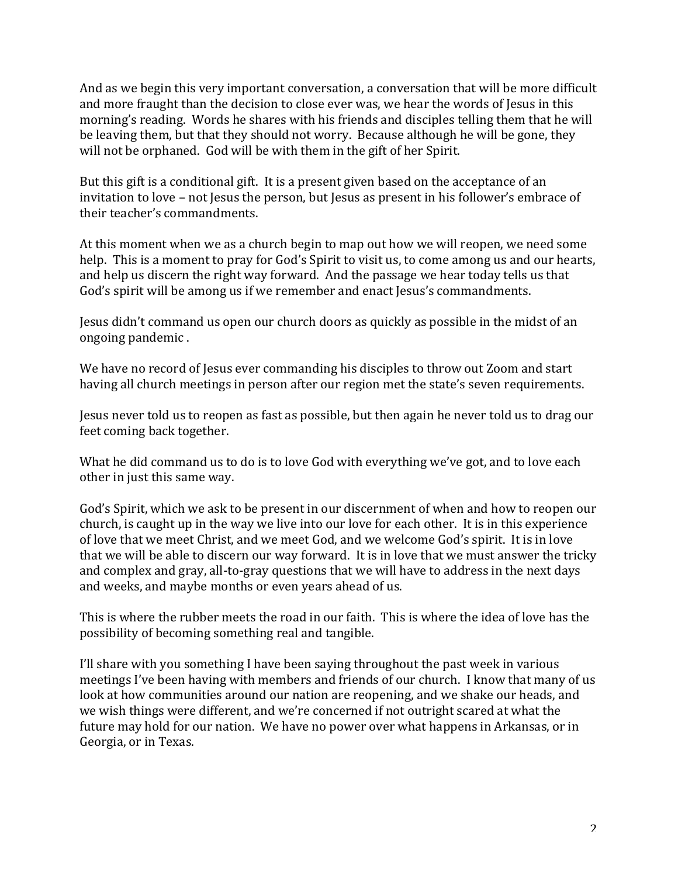And as we begin this very important conversation, a conversation that will be more difficult and more fraught than the decision to close ever was, we hear the words of Jesus in this morning's reading. Words he shares with his friends and disciples telling them that he will be leaving them, but that they should not worry. Because although he will be gone, they will not be orphaned. God will be with them in the gift of her Spirit.

But this gift is a conditional gift. It is a present given based on the acceptance of an invitation to love – not Jesus the person, but Jesus as present in his follower's embrace of their teacher's commandments.

At this moment when we as a church begin to map out how we will reopen, we need some help. This is a moment to pray for God's Spirit to visit us, to come among us and our hearts, and help us discern the right way forward. And the passage we hear today tells us that God's spirit will be among us if we remember and enact Jesus's commandments.

Jesus didn't command us open our church doors as quickly as possible in the midst of an ongoing pandemic.

We have no record of Jesus ever commanding his disciples to throw out Zoom and start having all church meetings in person after our region met the state's seven requirements.

Jesus never told us to reopen as fast as possible, but then again he never told us to drag our feet coming back together.

What he did command us to do is to love God with everything we've got, and to love each other in just this same way.

God's Spirit, which we ask to be present in our discernment of when and how to reopen our church, is caught up in the way we live into our love for each other. It is in this experience of love that we meet Christ, and we meet God, and we welcome God's spirit. It is in love that we will be able to discern our way forward. It is in love that we must answer the tricky and complex and gray, all-to-gray questions that we will have to address in the next days and weeks, and maybe months or even years ahead of us.

This is where the rubber meets the road in our faith. This is where the idea of love has the possibility of becoming something real and tangible.

I'll share with you something I have been saying throughout the past week in various meetings I've been having with members and friends of our church. I know that many of us look at how communities around our nation are reopening, and we shake our heads, and we wish things were different, and we're concerned if not outright scared at what the future may hold for our nation. We have no power over what happens in Arkansas, or in Georgia, or in Texas.